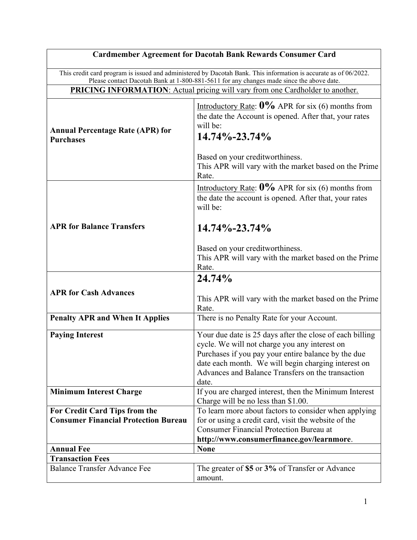| <b>Cardmember Agreement for Dacotah Bank Rewards Consumer Card</b>                                               |                                                                                                                                                                                                                                                                                       |
|------------------------------------------------------------------------------------------------------------------|---------------------------------------------------------------------------------------------------------------------------------------------------------------------------------------------------------------------------------------------------------------------------------------|
| This credit card program is issued and administered by Dacotah Bank. This information is accurate as of 06/2022. |                                                                                                                                                                                                                                                                                       |
| Please contact Dacotah Bank at 1-800-881-5611 for any changes made since the above date.                         |                                                                                                                                                                                                                                                                                       |
| <b>PRICING INFORMATION:</b> Actual pricing will vary from one Cardholder to another.                             |                                                                                                                                                                                                                                                                                       |
| <b>Annual Percentage Rate (APR) for</b><br><b>Purchases</b>                                                      | Introductory Rate: $0\%$ APR for six (6) months from<br>the date the Account is opened. After that, your rates<br>will be:<br>14.74%-23.74%                                                                                                                                           |
|                                                                                                                  | Based on your creditworthiness.<br>This APR will vary with the market based on the Prime<br>Rate.                                                                                                                                                                                     |
|                                                                                                                  | Introductory Rate: $0\%$ APR for six (6) months from<br>the date the account is opened. After that, your rates<br>will be:                                                                                                                                                            |
| <b>APR for Balance Transfers</b>                                                                                 | $14.74\% - 23.74\%$                                                                                                                                                                                                                                                                   |
|                                                                                                                  | Based on your creditworthiness.<br>This APR will vary with the market based on the Prime<br>Rate.                                                                                                                                                                                     |
|                                                                                                                  | 24.74%                                                                                                                                                                                                                                                                                |
| <b>APR for Cash Advances</b>                                                                                     | This APR will vary with the market based on the Prime<br>Rate.                                                                                                                                                                                                                        |
| <b>Penalty APR and When It Applies</b>                                                                           | There is no Penalty Rate for your Account.                                                                                                                                                                                                                                            |
| <b>Paying Interest</b>                                                                                           | Your due date is 25 days after the close of each billing<br>cycle. We will not charge you any interest on<br>Purchases if you pay your entire balance by the due<br>date each month. We will begin charging interest on<br>Advances and Balance Transfers on the transaction<br>date. |
| <b>Minimum Interest Charge</b>                                                                                   | If you are charged interest, then the Minimum Interest<br>Charge will be no less than \$1.00.                                                                                                                                                                                         |
| For Credit Card Tips from the                                                                                    | To learn more about factors to consider when applying                                                                                                                                                                                                                                 |
| <b>Consumer Financial Protection Bureau</b>                                                                      | for or using a credit card, visit the website of the                                                                                                                                                                                                                                  |
|                                                                                                                  | <b>Consumer Financial Protection Bureau at</b><br>http://www.consumerfinance.gov/learnmore.                                                                                                                                                                                           |
| <b>Annual Fee</b>                                                                                                | <b>None</b>                                                                                                                                                                                                                                                                           |
| <b>Transaction Fees</b>                                                                                          |                                                                                                                                                                                                                                                                                       |
| <b>Balance Transfer Advance Fee</b>                                                                              | The greater of \$5 or 3% of Transfer or Advance<br>amount.                                                                                                                                                                                                                            |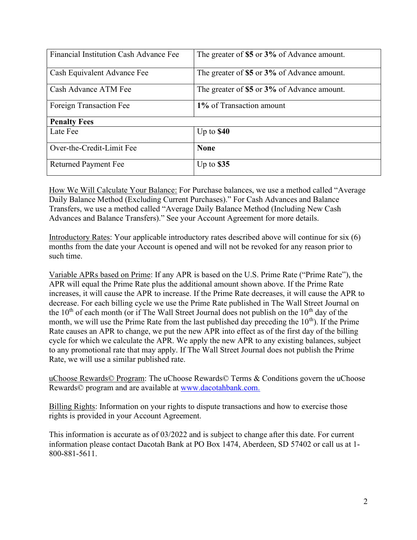| Financial Institution Cash Advance Fee | The greater of \$5 or 3% of Advance amount. |
|----------------------------------------|---------------------------------------------|
|                                        |                                             |
| Cash Equivalent Advance Fee            | The greater of \$5 or 3% of Advance amount. |
| Cash Advance ATM Fee                   | The greater of \$5 or 3% of Advance amount. |
| Foreign Transaction Fee                | 1% of Transaction amount                    |
| <b>Penalty Fees</b>                    |                                             |
| Late Fee                               | Up to $$40$                                 |
| Over-the-Credit-Limit Fee              | <b>None</b>                                 |
| <b>Returned Payment Fee</b>            | Up to $$35$                                 |

How We Will Calculate Your Balance: For Purchase balances, we use a method called "Average Daily Balance Method (Excluding Current Purchases)." For Cash Advances and Balance Transfers, we use a method called "Average Daily Balance Method (Including New Cash Advances and Balance Transfers)." See your Account Agreement for more details.

Introductory Rates: Your applicable introductory rates described above will continue for six (6) months from the date your Account is opened and will not be revoked for any reason prior to such time.

Variable APRs based on Prime: If any APR is based on the U.S. Prime Rate ("Prime Rate"), the APR will equal the Prime Rate plus the additional amount shown above. If the Prime Rate increases, it will cause the APR to increase. If the Prime Rate decreases, it will cause the APR to decrease. For each billing cycle we use the Prime Rate published in The Wall Street Journal on the  $10<sup>th</sup>$  of each month (or if The Wall Street Journal does not publish on the  $10<sup>th</sup>$  day of the month, we will use the Prime Rate from the last published day preceding the  $10<sup>th</sup>$ ). If the Prime Rate causes an APR to change, we put the new APR into effect as of the first day of the billing cycle for which we calculate the APR. We apply the new APR to any existing balances, subject to any promotional rate that may apply. If The Wall Street Journal does not publish the Prime Rate, we will use a similar published rate.

uChoose Rewards© Program: The uChoose Rewards© Terms & Conditions govern the uChoose Rewards© program and are available at www.dacotahbank.com.

Billing Rights: Information on your rights to dispute transactions and how to exercise those rights is provided in your Account Agreement.

This information is accurate as of 03/2022 and is subject to change after this date. For current information please contact Dacotah Bank at PO Box 1474, Aberdeen, SD 57402 or call us at 1- 800-881-5611.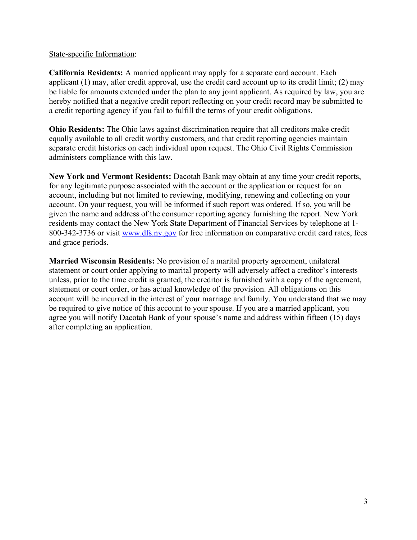#### State-specific Information:

California Residents: A married applicant may apply for a separate card account. Each applicant (1) may, after credit approval, use the credit card account up to its credit limit; (2) may be liable for amounts extended under the plan to any joint applicant. As required by law, you are hereby notified that a negative credit report reflecting on your credit record may be submitted to a credit reporting agency if you fail to fulfill the terms of your credit obligations.

Ohio Residents: The Ohio laws against discrimination require that all creditors make credit equally available to all credit worthy customers, and that credit reporting agencies maintain separate credit histories on each individual upon request. The Ohio Civil Rights Commission administers compliance with this law.

New York and Vermont Residents: Dacotah Bank may obtain at any time your credit reports, for any legitimate purpose associated with the account or the application or request for an account, including but not limited to reviewing, modifying, renewing and collecting on your account. On your request, you will be informed if such report was ordered. If so, you will be given the name and address of the consumer reporting agency furnishing the report. New York residents may contact the New York State Department of Financial Services by telephone at 1- 800-342-3736 or visit www.dfs.ny.gov for free information on comparative credit card rates, fees and grace periods.

Married Wisconsin Residents: No provision of a marital property agreement, unilateral statement or court order applying to marital property will adversely affect a creditor's interests unless, prior to the time credit is granted, the creditor is furnished with a copy of the agreement, statement or court order, or has actual knowledge of the provision. All obligations on this account will be incurred in the interest of your marriage and family. You understand that we may be required to give notice of this account to your spouse. If you are a married applicant, you agree you will notify Dacotah Bank of your spouse's name and address within fifteen (15) days after completing an application.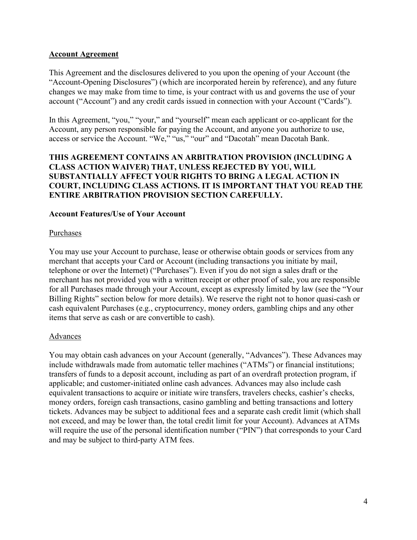## Account Agreement

This Agreement and the disclosures delivered to you upon the opening of your Account (the "Account-Opening Disclosures") (which are incorporated herein by reference), and any future changes we may make from time to time, is your contract with us and governs the use of your account ("Account") and any credit cards issued in connection with your Account ("Cards").

In this Agreement, "you," "your," and "yourself" mean each applicant or co-applicant for the Account, any person responsible for paying the Account, and anyone you authorize to use, access or service the Account. "We," "us," "our" and "Dacotah" mean Dacotah Bank.

## THIS AGREEMENT CONTAINS AN ARBITRATION PROVISION (INCLUDING A CLASS ACTION WAIVER) THAT, UNLESS REJECTED BY YOU, WILL SUBSTANTIALLY AFFECT YOUR RIGHTS TO BRING A LEGAL ACTION IN COURT, INCLUDING CLASS ACTIONS. IT IS IMPORTANT THAT YOU READ THE ENTIRE ARBITRATION PROVISION SECTION CAREFULLY.

#### Account Features/Use of Your Account

#### Purchases

You may use your Account to purchase, lease or otherwise obtain goods or services from any merchant that accepts your Card or Account (including transactions you initiate by mail, telephone or over the Internet) ("Purchases"). Even if you do not sign a sales draft or the merchant has not provided you with a written receipt or other proof of sale, you are responsible for all Purchases made through your Account, except as expressly limited by law (see the "Your Billing Rights" section below for more details). We reserve the right not to honor quasi-cash or cash equivalent Purchases (e.g., cryptocurrency, money orders, gambling chips and any other items that serve as cash or are convertible to cash).

#### Advances

You may obtain cash advances on your Account (generally, "Advances"). These Advances may include withdrawals made from automatic teller machines ("ATMs") or financial institutions; transfers of funds to a deposit account, including as part of an overdraft protection program, if applicable; and customer-initiated online cash advances. Advances may also include cash equivalent transactions to acquire or initiate wire transfers, travelers checks, cashier's checks, money orders, foreign cash transactions, casino gambling and betting transactions and lottery tickets. Advances may be subject to additional fees and a separate cash credit limit (which shall not exceed, and may be lower than, the total credit limit for your Account). Advances at ATMs will require the use of the personal identification number ("PIN") that corresponds to your Card and may be subject to third-party ATM fees.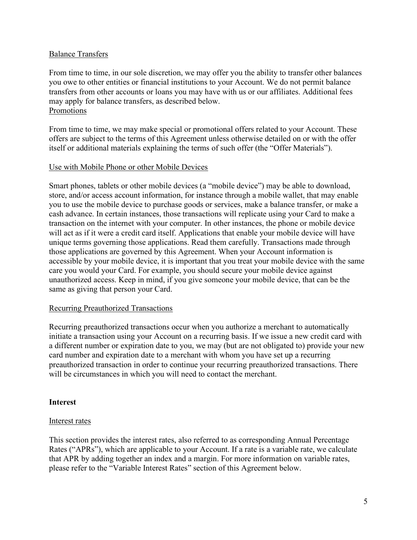#### Balance Transfers

From time to time, in our sole discretion, we may offer you the ability to transfer other balances you owe to other entities or financial institutions to your Account. We do not permit balance transfers from other accounts or loans you may have with us or our affiliates. Additional fees may apply for balance transfers, as described below. Promotions

From time to time, we may make special or promotional offers related to your Account. These offers are subject to the terms of this Agreement unless otherwise detailed on or with the offer itself or additional materials explaining the terms of such offer (the "Offer Materials").

#### Use with Mobile Phone or other Mobile Devices

Smart phones, tablets or other mobile devices (a "mobile device") may be able to download, store, and/or access account information, for instance through a mobile wallet, that may enable you to use the mobile device to purchase goods or services, make a balance transfer, or make a cash advance. In certain instances, those transactions will replicate using your Card to make a transaction on the internet with your computer. In other instances, the phone or mobile device will act as if it were a credit card itself. Applications that enable your mobile device will have unique terms governing those applications. Read them carefully. Transactions made through those applications are governed by this Agreement. When your Account information is accessible by your mobile device, it is important that you treat your mobile device with the same care you would your Card. For example, you should secure your mobile device against unauthorized access. Keep in mind, if you give someone your mobile device, that can be the same as giving that person your Card.

#### Recurring Preauthorized Transactions

Recurring preauthorized transactions occur when you authorize a merchant to automatically initiate a transaction using your Account on a recurring basis. If we issue a new credit card with a different number or expiration date to you, we may (but are not obligated to) provide your new card number and expiration date to a merchant with whom you have set up a recurring preauthorized transaction in order to continue your recurring preauthorized transactions. There will be circumstances in which you will need to contact the merchant.

#### Interest

#### Interest rates

This section provides the interest rates, also referred to as corresponding Annual Percentage Rates ("APRs"), which are applicable to your Account. If a rate is a variable rate, we calculate that APR by adding together an index and a margin. For more information on variable rates, please refer to the "Variable Interest Rates" section of this Agreement below.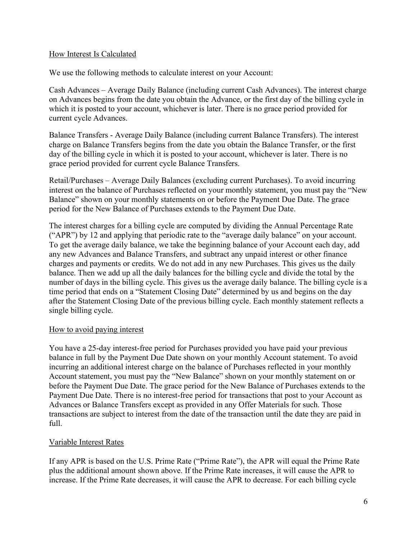## How Interest Is Calculated

We use the following methods to calculate interest on your Account:

Cash Advances – Average Daily Balance (including current Cash Advances). The interest charge on Advances begins from the date you obtain the Advance, or the first day of the billing cycle in which it is posted to your account, whichever is later. There is no grace period provided for current cycle Advances.

Balance Transfers - Average Daily Balance (including current Balance Transfers). The interest charge on Balance Transfers begins from the date you obtain the Balance Transfer, or the first day of the billing cycle in which it is posted to your account, whichever is later. There is no grace period provided for current cycle Balance Transfers.

Retail/Purchases – Average Daily Balances (excluding current Purchases). To avoid incurring interest on the balance of Purchases reflected on your monthly statement, you must pay the "New Balance" shown on your monthly statements on or before the Payment Due Date. The grace period for the New Balance of Purchases extends to the Payment Due Date.

The interest charges for a billing cycle are computed by dividing the Annual Percentage Rate ("APR") by 12 and applying that periodic rate to the "average daily balance" on your account. To get the average daily balance, we take the beginning balance of your Account each day, add any new Advances and Balance Transfers, and subtract any unpaid interest or other finance charges and payments or credits. We do not add in any new Purchases. This gives us the daily balance. Then we add up all the daily balances for the billing cycle and divide the total by the number of days in the billing cycle. This gives us the average daily balance. The billing cycle is a time period that ends on a "Statement Closing Date" determined by us and begins on the day after the Statement Closing Date of the previous billing cycle. Each monthly statement reflects a single billing cycle.

#### How to avoid paying interest

You have a 25-day interest-free period for Purchases provided you have paid your previous balance in full by the Payment Due Date shown on your monthly Account statement. To avoid incurring an additional interest charge on the balance of Purchases reflected in your monthly Account statement, you must pay the "New Balance" shown on your monthly statement on or before the Payment Due Date. The grace period for the New Balance of Purchases extends to the Payment Due Date. There is no interest-free period for transactions that post to your Account as Advances or Balance Transfers except as provided in any Offer Materials for such. Those transactions are subject to interest from the date of the transaction until the date they are paid in full.

## Variable Interest Rates

If any APR is based on the U.S. Prime Rate ("Prime Rate"), the APR will equal the Prime Rate plus the additional amount shown above. If the Prime Rate increases, it will cause the APR to increase. If the Prime Rate decreases, it will cause the APR to decrease. For each billing cycle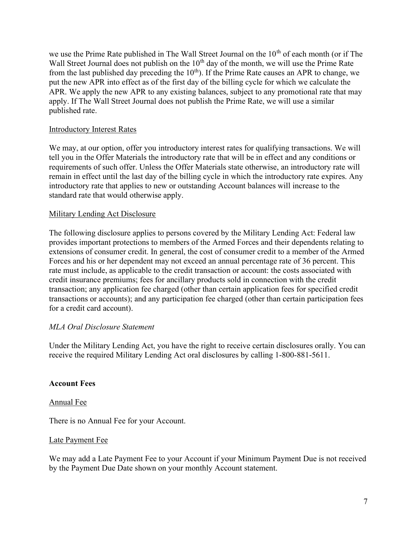we use the Prime Rate published in The Wall Street Journal on the 10<sup>th</sup> of each month (or if The Wall Street Journal does not publish on the  $10<sup>th</sup>$  day of the month, we will use the Prime Rate from the last published day preceding the  $10<sup>th</sup>$ . If the Prime Rate causes an APR to change, we put the new APR into effect as of the first day of the billing cycle for which we calculate the APR. We apply the new APR to any existing balances, subject to any promotional rate that may apply. If The Wall Street Journal does not publish the Prime Rate, we will use a similar published rate.

## Introductory Interest Rates

We may, at our option, offer you introductory interest rates for qualifying transactions. We will tell you in the Offer Materials the introductory rate that will be in effect and any conditions or requirements of such offer. Unless the Offer Materials state otherwise, an introductory rate will remain in effect until the last day of the billing cycle in which the introductory rate expires. Any introductory rate that applies to new or outstanding Account balances will increase to the standard rate that would otherwise apply.

## Military Lending Act Disclosure

The following disclosure applies to persons covered by the Military Lending Act: Federal law provides important protections to members of the Armed Forces and their dependents relating to extensions of consumer credit. In general, the cost of consumer credit to a member of the Armed Forces and his or her dependent may not exceed an annual percentage rate of 36 percent. This rate must include, as applicable to the credit transaction or account: the costs associated with credit insurance premiums; fees for ancillary products sold in connection with the credit transaction; any application fee charged (other than certain application fees for specified credit transactions or accounts); and any participation fee charged (other than certain participation fees for a credit card account).

## MLA Oral Disclosure Statement

Under the Military Lending Act, you have the right to receive certain disclosures orally. You can receive the required Military Lending Act oral disclosures by calling 1-800-881-5611.

#### Account Fees

#### Annual Fee

There is no Annual Fee for your Account.

#### Late Payment Fee

We may add a Late Payment Fee to your Account if your Minimum Payment Due is not received by the Payment Due Date shown on your monthly Account statement.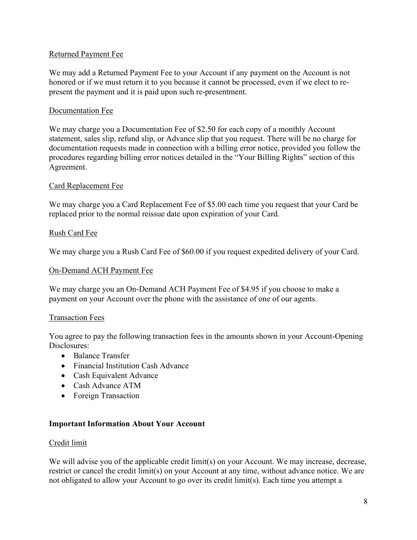## Returned Payment Fee

We may add a Returned Payment Fee to your Account if any payment on the Account is not honored or if we must return it to you because it cannot be processed, even if we elect to represent the payment and it is paid upon such re-presentment.

## Documentation Fee

We may charge you a Documentation Fee of \$2.50 for each copy of a monthly Account statement, sales slip, refund slip, or Advance slip that you request. There will be no charge for documentation requests made in connection with a billing error notice, provided you follow the procedures regarding billing error notices detailed in the "Your Billing Rights" section of this Agreement.

## Card Replacement Fee

We may charge you a Card Replacement Fee of \$5.00 each time you request that your Card be replaced prior to the normal reissue date upon expiration of your Card.

#### Rush Card Fee

We may charge you a Rush Card Fee of \$60.00 if you request expedited delivery of your Card.

#### On-Demand ACH Payment Fee

We may charge you an On-Demand ACH Payment Fee of \$4.95 if you choose to make a payment on your Account over the phone with the assistance of one of our agents.

#### Transaction Fees

You agree to pay the following transaction fees in the amounts shown in your Account-Opening Disclosures:

- Balance Transfer
- Financial Institution Cash Advance
- Cash Equivalent Advance
- Cash Advance ATM
- Foreign Transaction

#### Important Information About Your Account

#### Credit limit

We will advise you of the applicable credit limit(s) on your Account. We may increase, decrease, restrict or cancel the credit limit(s) on your Account at any time, without advance notice. We are not obligated to allow your Account to go over its credit limit(s). Each time you attempt a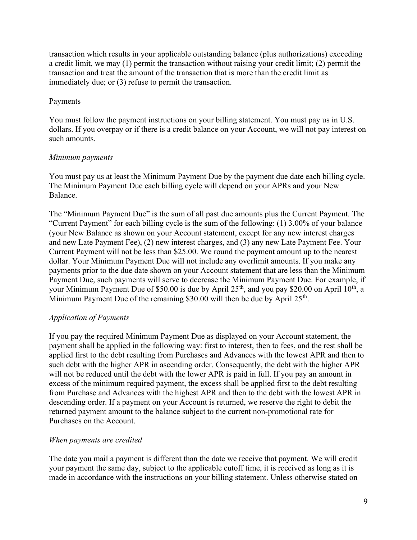transaction which results in your applicable outstanding balance (plus authorizations) exceeding a credit limit, we may (1) permit the transaction without raising your credit limit; (2) permit the transaction and treat the amount of the transaction that is more than the credit limit as immediately due; or (3) refuse to permit the transaction.

## **Payments**

You must follow the payment instructions on your billing statement. You must pay us in U.S. dollars. If you overpay or if there is a credit balance on your Account, we will not pay interest on such amounts.

## Minimum payments

You must pay us at least the Minimum Payment Due by the payment due date each billing cycle. The Minimum Payment Due each billing cycle will depend on your APRs and your New Balance.

The "Minimum Payment Due" is the sum of all past due amounts plus the Current Payment. The "Current Payment" for each billing cycle is the sum of the following: (1) 3.00% of your balance (your New Balance as shown on your Account statement, except for any new interest charges and new Late Payment Fee), (2) new interest charges, and (3) any new Late Payment Fee. Your Current Payment will not be less than \$25.00. We round the payment amount up to the nearest dollar. Your Minimum Payment Due will not include any overlimit amounts. If you make any payments prior to the due date shown on your Account statement that are less than the Minimum Payment Due, such payments will serve to decrease the Minimum Payment Due. For example, if your Minimum Payment Due of \$50.00 is due by April  $25<sup>th</sup>$ , and you pay \$20.00 on April  $10<sup>th</sup>$ , a Minimum Payment Due of the remaining \$30.00 will then be due by April  $25<sup>th</sup>$ .

## Application of Payments

If you pay the required Minimum Payment Due as displayed on your Account statement, the payment shall be applied in the following way: first to interest, then to fees, and the rest shall be applied first to the debt resulting from Purchases and Advances with the lowest APR and then to such debt with the higher APR in ascending order. Consequently, the debt with the higher APR will not be reduced until the debt with the lower APR is paid in full. If you pay an amount in excess of the minimum required payment, the excess shall be applied first to the debt resulting from Purchase and Advances with the highest APR and then to the debt with the lowest APR in descending order. If a payment on your Account is returned, we reserve the right to debit the returned payment amount to the balance subject to the current non-promotional rate for Purchases on the Account.

## When payments are credited

The date you mail a payment is different than the date we receive that payment. We will credit your payment the same day, subject to the applicable cutoff time, it is received as long as it is made in accordance with the instructions on your billing statement. Unless otherwise stated on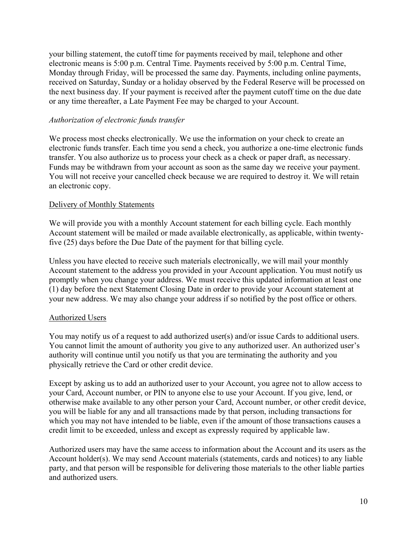your billing statement, the cutoff time for payments received by mail, telephone and other electronic means is 5:00 p.m. Central Time. Payments received by 5:00 p.m. Central Time, Monday through Friday, will be processed the same day. Payments, including online payments, received on Saturday, Sunday or a holiday observed by the Federal Reserve will be processed on the next business day. If your payment is received after the payment cutoff time on the due date or any time thereafter, a Late Payment Fee may be charged to your Account.

## Authorization of electronic funds transfer

We process most checks electronically. We use the information on your check to create an electronic funds transfer. Each time you send a check, you authorize a one-time electronic funds transfer. You also authorize us to process your check as a check or paper draft, as necessary. Funds may be withdrawn from your account as soon as the same day we receive your payment. You will not receive your cancelled check because we are required to destroy it. We will retain an electronic copy.

#### Delivery of Monthly Statements

We will provide you with a monthly Account statement for each billing cycle. Each monthly Account statement will be mailed or made available electronically, as applicable, within twentyfive (25) days before the Due Date of the payment for that billing cycle.

Unless you have elected to receive such materials electronically, we will mail your monthly Account statement to the address you provided in your Account application. You must notify us promptly when you change your address. We must receive this updated information at least one (1) day before the next Statement Closing Date in order to provide your Account statement at your new address. We may also change your address if so notified by the post office or others.

#### Authorized Users

You may notify us of a request to add authorized user(s) and/or issue Cards to additional users. You cannot limit the amount of authority you give to any authorized user. An authorized user's authority will continue until you notify us that you are terminating the authority and you physically retrieve the Card or other credit device.

Except by asking us to add an authorized user to your Account, you agree not to allow access to your Card, Account number, or PIN to anyone else to use your Account. If you give, lend, or otherwise make available to any other person your Card, Account number, or other credit device, you will be liable for any and all transactions made by that person, including transactions for which you may not have intended to be liable, even if the amount of those transactions causes a credit limit to be exceeded, unless and except as expressly required by applicable law.

Authorized users may have the same access to information about the Account and its users as the Account holder(s). We may send Account materials (statements, cards and notices) to any liable party, and that person will be responsible for delivering those materials to the other liable parties and authorized users.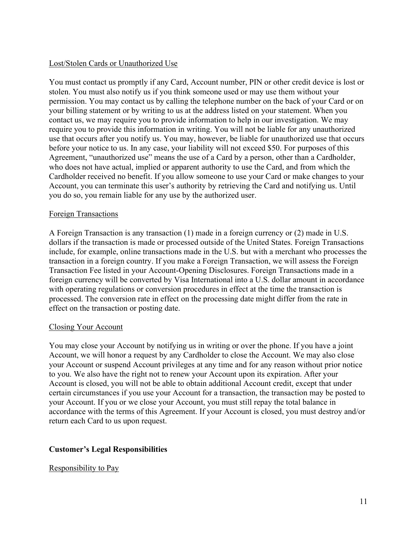## Lost/Stolen Cards or Unauthorized Use

You must contact us promptly if any Card, Account number, PIN or other credit device is lost or stolen. You must also notify us if you think someone used or may use them without your permission. You may contact us by calling the telephone number on the back of your Card or on your billing statement or by writing to us at the address listed on your statement. When you contact us, we may require you to provide information to help in our investigation. We may require you to provide this information in writing. You will not be liable for any unauthorized use that occurs after you notify us. You may, however, be liable for unauthorized use that occurs before your notice to us. In any case, your liability will not exceed \$50. For purposes of this Agreement, "unauthorized use" means the use of a Card by a person, other than a Cardholder, who does not have actual, implied or apparent authority to use the Card, and from which the Cardholder received no benefit. If you allow someone to use your Card or make changes to your Account, you can terminate this user's authority by retrieving the Card and notifying us. Until you do so, you remain liable for any use by the authorized user.

#### Foreign Transactions

A Foreign Transaction is any transaction (1) made in a foreign currency or (2) made in U.S. dollars if the transaction is made or processed outside of the United States. Foreign Transactions include, for example, online transactions made in the U.S. but with a merchant who processes the transaction in a foreign country. If you make a Foreign Transaction, we will assess the Foreign Transaction Fee listed in your Account-Opening Disclosures. Foreign Transactions made in a foreign currency will be converted by Visa International into a U.S. dollar amount in accordance with operating regulations or conversion procedures in effect at the time the transaction is processed. The conversion rate in effect on the processing date might differ from the rate in effect on the transaction or posting date.

#### Closing Your Account

You may close your Account by notifying us in writing or over the phone. If you have a joint Account, we will honor a request by any Cardholder to close the Account. We may also close your Account or suspend Account privileges at any time and for any reason without prior notice to you. We also have the right not to renew your Account upon its expiration. After your Account is closed, you will not be able to obtain additional Account credit, except that under certain circumstances if you use your Account for a transaction, the transaction may be posted to your Account. If you or we close your Account, you must still repay the total balance in accordance with the terms of this Agreement. If your Account is closed, you must destroy and/or return each Card to us upon request.

#### Customer's Legal Responsibilities

#### Responsibility to Pay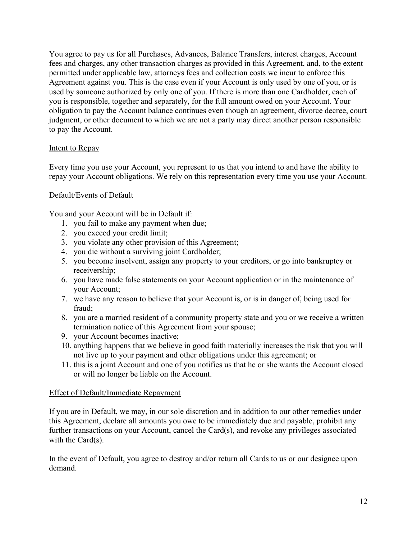You agree to pay us for all Purchases, Advances, Balance Transfers, interest charges, Account fees and charges, any other transaction charges as provided in this Agreement, and, to the extent permitted under applicable law, attorneys fees and collection costs we incur to enforce this Agreement against you. This is the case even if your Account is only used by one of you, or is used by someone authorized by only one of you. If there is more than one Cardholder, each of you is responsible, together and separately, for the full amount owed on your Account. Your obligation to pay the Account balance continues even though an agreement, divorce decree, court judgment, or other document to which we are not a party may direct another person responsible to pay the Account.

## Intent to Repay

Every time you use your Account, you represent to us that you intend to and have the ability to repay your Account obligations. We rely on this representation every time you use your Account.

## Default/Events of Default

You and your Account will be in Default if:

- 1. you fail to make any payment when due;
- 2. you exceed your credit limit;
- 3. you violate any other provision of this Agreement;
- 4. you die without a surviving joint Cardholder;
- 5. you become insolvent, assign any property to your creditors, or go into bankruptcy or receivership;
- 6. you have made false statements on your Account application or in the maintenance of your Account;
- 7. we have any reason to believe that your Account is, or is in danger of, being used for fraud;
- 8. you are a married resident of a community property state and you or we receive a written termination notice of this Agreement from your spouse;
- 9. your Account becomes inactive;
- 10. anything happens that we believe in good faith materially increases the risk that you will not live up to your payment and other obligations under this agreement; or
- 11. this is a joint Account and one of you notifies us that he or she wants the Account closed or will no longer be liable on the Account.

#### Effect of Default/Immediate Repayment

If you are in Default, we may, in our sole discretion and in addition to our other remedies under this Agreement, declare all amounts you owe to be immediately due and payable, prohibit any further transactions on your Account, cancel the Card(s), and revoke any privileges associated with the Card(s).

In the event of Default, you agree to destroy and/or return all Cards to us or our designee upon demand.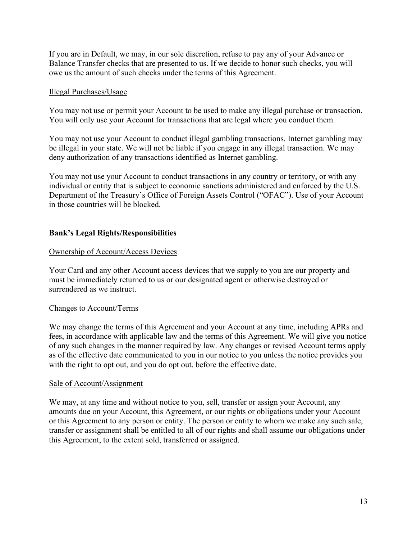If you are in Default, we may, in our sole discretion, refuse to pay any of your Advance or Balance Transfer checks that are presented to us. If we decide to honor such checks, you will owe us the amount of such checks under the terms of this Agreement.

### Illegal Purchases/Usage

You may not use or permit your Account to be used to make any illegal purchase or transaction. You will only use your Account for transactions that are legal where you conduct them.

You may not use your Account to conduct illegal gambling transactions. Internet gambling may be illegal in your state. We will not be liable if you engage in any illegal transaction. We may deny authorization of any transactions identified as Internet gambling.

You may not use your Account to conduct transactions in any country or territory, or with any individual or entity that is subject to economic sanctions administered and enforced by the U.S. Department of the Treasury's Office of Foreign Assets Control ("OFAC"). Use of your Account in those countries will be blocked.

## Bank's Legal Rights/Responsibilities

## Ownership of Account/Access Devices

Your Card and any other Account access devices that we supply to you are our property and must be immediately returned to us or our designated agent or otherwise destroyed or surrendered as we instruct.

#### Changes to Account/Terms

We may change the terms of this Agreement and your Account at any time, including APRs and fees, in accordance with applicable law and the terms of this Agreement. We will give you notice of any such changes in the manner required by law. Any changes or revised Account terms apply as of the effective date communicated to you in our notice to you unless the notice provides you with the right to opt out, and you do opt out, before the effective date.

#### Sale of Account/Assignment

We may, at any time and without notice to you, sell, transfer or assign your Account, any amounts due on your Account, this Agreement, or our rights or obligations under your Account or this Agreement to any person or entity. The person or entity to whom we make any such sale, transfer or assignment shall be entitled to all of our rights and shall assume our obligations under this Agreement, to the extent sold, transferred or assigned.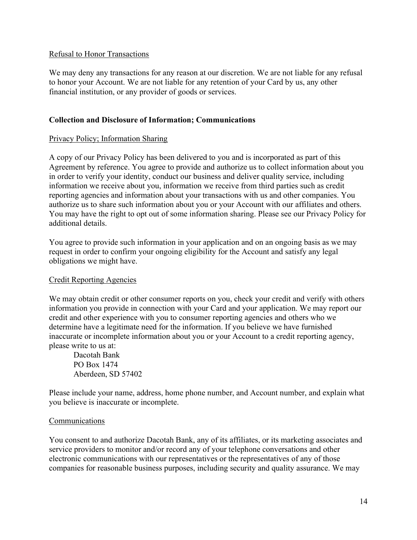## Refusal to Honor Transactions

We may deny any transactions for any reason at our discretion. We are not liable for any refusal to honor your Account. We are not liable for any retention of your Card by us, any other financial institution, or any provider of goods or services.

## Collection and Disclosure of Information; Communications

## Privacy Policy; Information Sharing

A copy of our Privacy Policy has been delivered to you and is incorporated as part of this Agreement by reference. You agree to provide and authorize us to collect information about you in order to verify your identity, conduct our business and deliver quality service, including information we receive about you, information we receive from third parties such as credit reporting agencies and information about your transactions with us and other companies. You authorize us to share such information about you or your Account with our affiliates and others. You may have the right to opt out of some information sharing. Please see our Privacy Policy for additional details.

You agree to provide such information in your application and on an ongoing basis as we may request in order to confirm your ongoing eligibility for the Account and satisfy any legal obligations we might have.

## Credit Reporting Agencies

We may obtain credit or other consumer reports on you, check your credit and verify with others information you provide in connection with your Card and your application. We may report our credit and other experience with you to consumer reporting agencies and others who we determine have a legitimate need for the information. If you believe we have furnished inaccurate or incomplete information about you or your Account to a credit reporting agency, please write to us at:

Dacotah Bank PO Box 1474 Aberdeen, SD 57402

Please include your name, address, home phone number, and Account number, and explain what you believe is inaccurate or incomplete.

#### Communications

You consent to and authorize Dacotah Bank, any of its affiliates, or its marketing associates and service providers to monitor and/or record any of your telephone conversations and other electronic communications with our representatives or the representatives of any of those companies for reasonable business purposes, including security and quality assurance. We may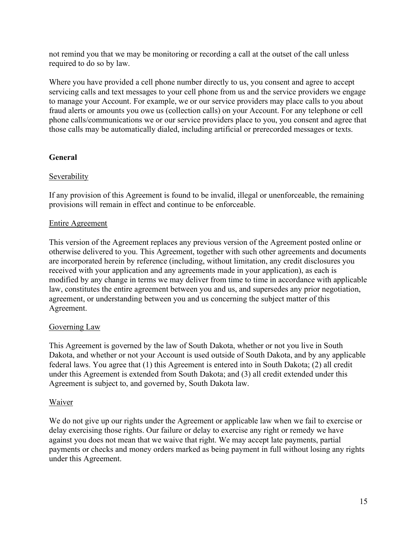not remind you that we may be monitoring or recording a call at the outset of the call unless required to do so by law.

Where you have provided a cell phone number directly to us, you consent and agree to accept servicing calls and text messages to your cell phone from us and the service providers we engage to manage your Account. For example, we or our service providers may place calls to you about fraud alerts or amounts you owe us (collection calls) on your Account. For any telephone or cell phone calls/communications we or our service providers place to you, you consent and agree that those calls may be automatically dialed, including artificial or prerecorded messages or texts.

## General

## **Severability**

If any provision of this Agreement is found to be invalid, illegal or unenforceable, the remaining provisions will remain in effect and continue to be enforceable.

## Entire Agreement

This version of the Agreement replaces any previous version of the Agreement posted online or otherwise delivered to you. This Agreement, together with such other agreements and documents are incorporated herein by reference (including, without limitation, any credit disclosures you received with your application and any agreements made in your application), as each is modified by any change in terms we may deliver from time to time in accordance with applicable law, constitutes the entire agreement between you and us, and supersedes any prior negotiation, agreement, or understanding between you and us concerning the subject matter of this Agreement.

## Governing Law

This Agreement is governed by the law of South Dakota, whether or not you live in South Dakota, and whether or not your Account is used outside of South Dakota, and by any applicable federal laws. You agree that (1) this Agreement is entered into in South Dakota; (2) all credit under this Agreement is extended from South Dakota; and (3) all credit extended under this Agreement is subject to, and governed by, South Dakota law.

## Waiver

We do not give up our rights under the Agreement or applicable law when we fail to exercise or delay exercising those rights. Our failure or delay to exercise any right or remedy we have against you does not mean that we waive that right. We may accept late payments, partial payments or checks and money orders marked as being payment in full without losing any rights under this Agreement.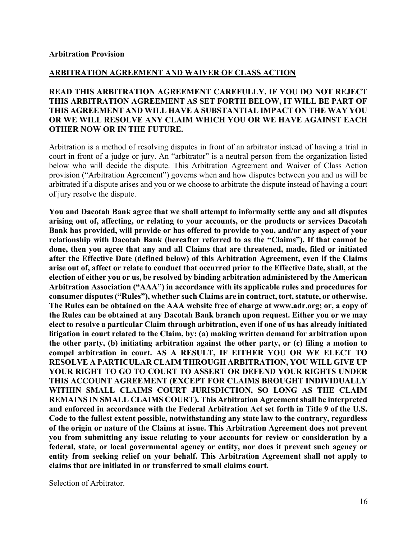#### ARBITRATION AGREEMENT AND WAIVER OF CLASS ACTION

## READ THIS ARBITRATION AGREEMENT CAREFULLY. IF YOU DO NOT REJECT THIS ARBITRATION AGREEMENT AS SET FORTH BELOW, IT WILL BE PART OF THIS AGREEMENT AND WILL HAVE A SUBSTANTIAL IMPACT ON THE WAY YOU OR WE WILL RESOLVE ANY CLAIM WHICH YOU OR WE HAVE AGAINST EACH OTHER NOW OR IN THE FUTURE.

Arbitration is a method of resolving disputes in front of an arbitrator instead of having a trial in court in front of a judge or jury. An "arbitrator" is a neutral person from the organization listed below who will decide the dispute. This Arbitration Agreement and Waiver of Class Action provision ("Arbitration Agreement") governs when and how disputes between you and us will be arbitrated if a dispute arises and you or we choose to arbitrate the dispute instead of having a court of jury resolve the dispute.

You and Dacotah Bank agree that we shall attempt to informally settle any and all disputes arising out of, affecting, or relating to your accounts, or the products or services Dacotah Bank has provided, will provide or has offered to provide to you, and/or any aspect of your relationship with Dacotah Bank (hereafter referred to as the "Claims"). If that cannot be done, then you agree that any and all Claims that are threatened, made, filed or initiated after the Effective Date (defined below) of this Arbitration Agreement, even if the Claims arise out of, affect or relate to conduct that occurred prior to the Effective Date, shall, at the election of either you or us, be resolved by binding arbitration administered by the American Arbitration Association ("AAA") in accordance with its applicable rules and procedures for consumer disputes ("Rules"), whether such Claims are in contract, tort, statute, or otherwise. The Rules can be obtained on the AAA website free of charge at www.adr.org; or, a copy of the Rules can be obtained at any Dacotah Bank branch upon request. Either you or we may elect to resolve a particular Claim through arbitration, even if one of us has already initiated litigation in court related to the Claim, by: (a) making written demand for arbitration upon the other party, (b) initiating arbitration against the other party, or (c) filing a motion to compel arbitration in court. AS A RESULT, IF EITHER YOU OR WE ELECT TO RESOLVE A PARTICULAR CLAIM THROUGH ARBITRATION, YOU WILL GIVE UP YOUR RIGHT TO GO TO COURT TO ASSERT OR DEFEND YOUR RIGHTS UNDER THIS ACCOUNT AGREEMENT (EXCEPT FOR CLAIMS BROUGHT INDIVIDUALLY WITHIN SMALL CLAIMS COURT JURISDICTION, SO LONG AS THE CLAIM REMAINS IN SMALL CLAIMS COURT). This Arbitration Agreement shall be interpreted and enforced in accordance with the Federal Arbitration Act set forth in Title 9 of the U.S. Code to the fullest extent possible, notwithstanding any state law to the contrary, regardless of the origin or nature of the Claims at issue. This Arbitration Agreement does not prevent you from submitting any issue relating to your accounts for review or consideration by a federal, state, or local governmental agency or entity, nor does it prevent such agency or entity from seeking relief on your behalf. This Arbitration Agreement shall not apply to claims that are initiated in or transferred to small claims court.

Selection of Arbitrator.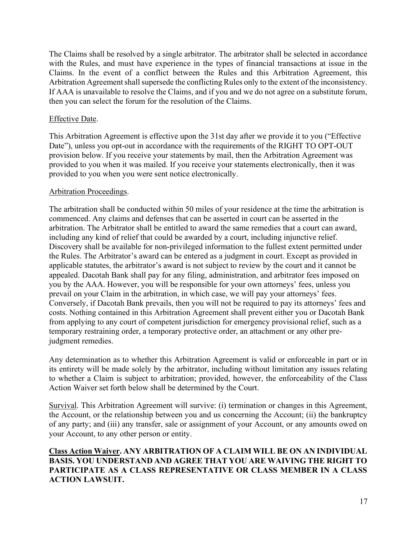The Claims shall be resolved by a single arbitrator. The arbitrator shall be selected in accordance with the Rules, and must have experience in the types of financial transactions at issue in the Claims. In the event of a conflict between the Rules and this Arbitration Agreement, this Arbitration Agreement shall supersede the conflicting Rules only to the extent of the inconsistency. If AAA is unavailable to resolve the Claims, and if you and we do not agree on a substitute forum, then you can select the forum for the resolution of the Claims.

## Effective Date.

This Arbitration Agreement is effective upon the 31st day after we provide it to you ("Effective Date"), unless you opt-out in accordance with the requirements of the RIGHT TO OPT-OUT provision below. If you receive your statements by mail, then the Arbitration Agreement was provided to you when it was mailed. If you receive your statements electronically, then it was provided to you when you were sent notice electronically.

#### Arbitration Proceedings.

The arbitration shall be conducted within 50 miles of your residence at the time the arbitration is commenced. Any claims and defenses that can be asserted in court can be asserted in the arbitration. The Arbitrator shall be entitled to award the same remedies that a court can award, including any kind of relief that could be awarded by a court, including injunctive relief. Discovery shall be available for non-privileged information to the fullest extent permitted under the Rules. The Arbitrator's award can be entered as a judgment in court. Except as provided in applicable statutes, the arbitrator's award is not subject to review by the court and it cannot be appealed. Dacotah Bank shall pay for any filing, administration, and arbitrator fees imposed on you by the AAA. However, you will be responsible for your own attorneys' fees, unless you prevail on your Claim in the arbitration, in which case, we will pay your attorneys' fees. Conversely, if Dacotah Bank prevails, then you will not be required to pay its attorneys' fees and costs. Nothing contained in this Arbitration Agreement shall prevent either you or Dacotah Bank from applying to any court of competent jurisdiction for emergency provisional relief, such as a temporary restraining order, a temporary protective order, an attachment or any other prejudgment remedies.

Any determination as to whether this Arbitration Agreement is valid or enforceable in part or in its entirety will be made solely by the arbitrator, including without limitation any issues relating to whether a Claim is subject to arbitration; provided, however, the enforceability of the Class Action Waiver set forth below shall be determined by the Court.

Survival. This Arbitration Agreement will survive: (i) termination or changes in this Agreement, the Account, or the relationship between you and us concerning the Account; (ii) the bankruptcy of any party; and (iii) any transfer, sale or assignment of your Account, or any amounts owed on your Account, to any other person or entity.

Class Action Waiver. ANY ARBITRATION OF A CLAIM WILL BE ON AN INDIVIDUAL BASIS. YOU UNDERSTAND AND AGREE THAT YOU ARE WAIVING THE RIGHT TO PARTICIPATE AS A CLASS REPRESENTATIVE OR CLASS MEMBER IN A CLASS ACTION LAWSUIT.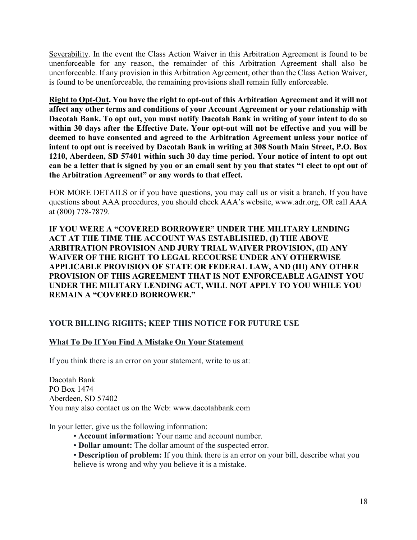Severability. In the event the Class Action Waiver in this Arbitration Agreement is found to be unenforceable for any reason, the remainder of this Arbitration Agreement shall also be unenforceable. If any provision in this Arbitration Agreement, other than the Class Action Waiver, is found to be unenforceable, the remaining provisions shall remain fully enforceable.

Right to Opt-Out. You have the right to opt-out of this Arbitration Agreement and it will not affect any other terms and conditions of your Account Agreement or your relationship with Dacotah Bank. To opt out, you must notify Dacotah Bank in writing of your intent to do so within 30 days after the Effective Date. Your opt-out will not be effective and you will be deemed to have consented and agreed to the Arbitration Agreement unless your notice of intent to opt out is received by Dacotah Bank in writing at 308 South Main Street, P.O. Box 1210, Aberdeen, SD 57401 within such 30 day time period. Your notice of intent to opt out can be a letter that is signed by you or an email sent by you that states "I elect to opt out of the Arbitration Agreement" or any words to that effect.

FOR MORE DETAILS or if you have questions, you may call us or visit a branch. If you have questions about AAA procedures, you should check AAA's website, www.adr.org, OR call AAA at (800) 778-7879.

IF YOU WERE A "COVERED BORROWER" UNDER THE MILITARY LENDING ACT AT THE TIME THE ACCOUNT WAS ESTABLISHED, (I) THE ABOVE ARBITRATION PROVISION AND JURY TRIAL WAIVER PROVISION, (II) ANY WAIVER OF THE RIGHT TO LEGAL RECOURSE UNDER ANY OTHERWISE APPLICABLE PROVISION OF STATE OR FEDERAL LAW, AND (III) ANY OTHER PROVISION OF THIS AGREEMENT THAT IS NOT ENFORCEABLE AGAINST YOU UNDER THE MILITARY LENDING ACT, WILL NOT APPLY TO YOU WHILE YOU REMAIN A "COVERED BORROWER."

## YOUR BILLING RIGHTS; KEEP THIS NOTICE FOR FUTURE USE

# What To Do If You Find A Mistake On Your Statement

If you think there is an error on your statement, write to us at:

Dacotah Bank PO Box 1474 Aberdeen, SD 57402 You may also contact us on the Web: www.dacotahbank.com

In your letter, give us the following information:

- Account information: Your name and account number.
- Dollar amount: The dollar amount of the suspected error.
- Description of problem: If you think there is an error on your bill, describe what you believe is wrong and why you believe it is a mistake.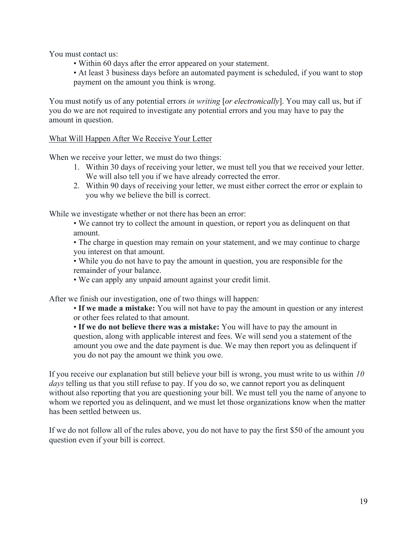You must contact us:

- Within 60 days after the error appeared on your statement.
- At least 3 business days before an automated payment is scheduled, if you want to stop payment on the amount you think is wrong.

You must notify us of any potential errors in writing [or electronically]. You may call us, but if you do we are not required to investigate any potential errors and you may have to pay the amount in question.

## What Will Happen After We Receive Your Letter

When we receive your letter, we must do two things:

- 1. Within 30 days of receiving your letter, we must tell you that we received your letter. We will also tell you if we have already corrected the error.
- 2. Within 90 days of receiving your letter, we must either correct the error or explain to you why we believe the bill is correct.

While we investigate whether or not there has been an error:

• We cannot try to collect the amount in question, or report you as delinquent on that amount.

• The charge in question may remain on your statement, and we may continue to charge you interest on that amount.

• While you do not have to pay the amount in question, you are responsible for the remainder of your balance.

• We can apply any unpaid amount against your credit limit.

After we finish our investigation, one of two things will happen:

• If we made a mistake: You will not have to pay the amount in question or any interest or other fees related to that amount.

• If we do not believe there was a mistake: You will have to pay the amount in question, along with applicable interest and fees. We will send you a statement of the amount you owe and the date payment is due. We may then report you as delinquent if you do not pay the amount we think you owe.

If you receive our explanation but still believe your bill is wrong, you must write to us within  $10$ days telling us that you still refuse to pay. If you do so, we cannot report you as delinquent without also reporting that you are questioning your bill. We must tell you the name of anyone to whom we reported you as delinquent, and we must let those organizations know when the matter has been settled between us.

If we do not follow all of the rules above, you do not have to pay the first \$50 of the amount you question even if your bill is correct.